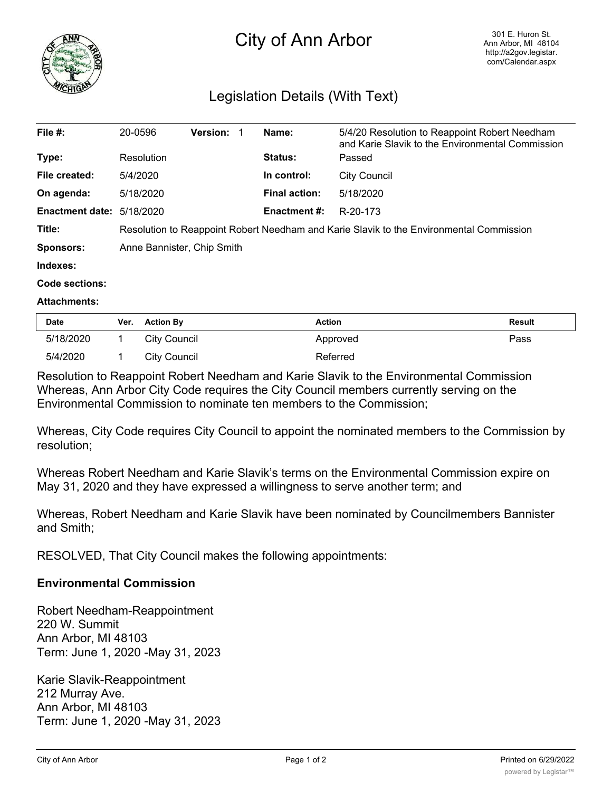

# City of Ann Arbor

# Legislation Details (With Text)

| File $#$ :                       | 20-0596                                                                                 | <b>Version:</b> |  | Name:                | 5/4/20 Resolution to Reappoint Robert Needham<br>and Karie Slavik to the Environmental Commission |  |
|----------------------------------|-----------------------------------------------------------------------------------------|-----------------|--|----------------------|---------------------------------------------------------------------------------------------------|--|
| Type:                            | Resolution                                                                              |                 |  | <b>Status:</b>       | Passed                                                                                            |  |
| File created:                    | 5/4/2020                                                                                |                 |  | In control:          | <b>City Council</b>                                                                               |  |
| On agenda:                       | 5/18/2020                                                                               |                 |  | <b>Final action:</b> | 5/18/2020                                                                                         |  |
| <b>Enactment date: 5/18/2020</b> |                                                                                         |                 |  | <b>Enactment #:</b>  | R-20-173                                                                                          |  |
| Title:                           | Resolution to Reappoint Robert Needham and Karie Slavik to the Environmental Commission |                 |  |                      |                                                                                                   |  |
| Sponsors:                        | Anne Bannister, Chip Smith                                                              |                 |  |                      |                                                                                                   |  |
| Indexes:                         |                                                                                         |                 |  |                      |                                                                                                   |  |
| Code sections:                   |                                                                                         |                 |  |                      |                                                                                                   |  |

#### **Attachments:**

| <b>Date</b> | Ver. Action By | <b>Action</b> | <b>Result</b> |
|-------------|----------------|---------------|---------------|
| 5/18/2020   | City Council   | Approved      | Pass          |
| 5/4/2020    | City Council   | Referred      |               |

Resolution to Reappoint Robert Needham and Karie Slavik to the Environmental Commission Whereas, Ann Arbor City Code requires the City Council members currently serving on the Environmental Commission to nominate ten members to the Commission;

Whereas, City Code requires City Council to appoint the nominated members to the Commission by resolution;

Whereas Robert Needham and Karie Slavik's terms on the Environmental Commission expire on May 31, 2020 and they have expressed a willingness to serve another term; and

Whereas, Robert Needham and Karie Slavik have been nominated by Councilmembers Bannister and Smith;

RESOLVED, That City Council makes the following appointments:

### **Environmental Commission**

Robert Needham-Reappointment 220 W. Summit Ann Arbor, MI 48103 Term: June 1, 2020 -May 31, 2023

Karie Slavik-Reappointment 212 Murray Ave. Ann Arbor, MI 48103 Term: June 1, 2020 -May 31, 2023